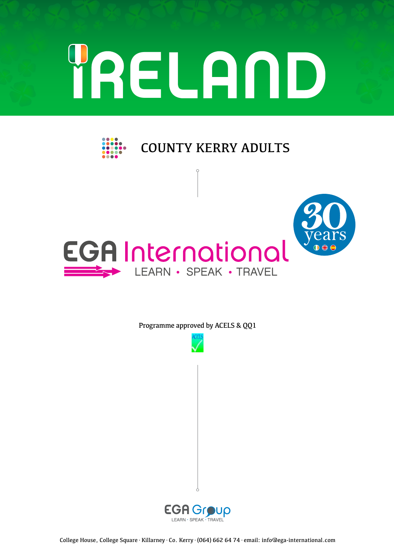# YRELAND



COUNTY KERRY ADULTS



Programme approved by ACELS & QQ1



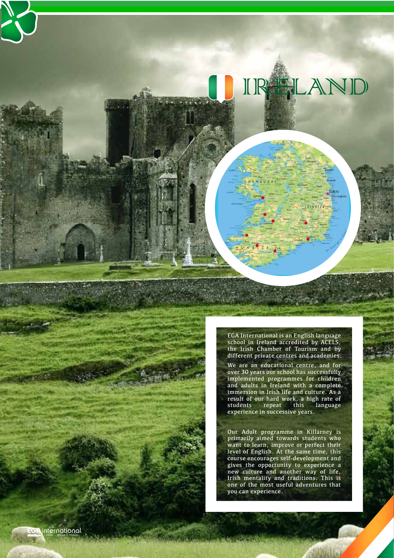EGA International is an English language school in Ireland accredited by ACELS, the Irish Chamber of Tourism and by different private centres and academies.

IRELAND

We are an educational centre, and for over 30 years our school has successfully implemented programmes for children and adults in Ireland with a complete immersion in Irish life and culture. As a result of our hard work, a high rate of students repeat this language experience in successive years.

Our Adult programme in Killarney is primarily aimed towards students who want to learn, improve or perfect their level of English. At the same time, this course encourages self-development and gives the opportunity to experience a new culture and another way of life, Irish mentality and traditions. This is one of the most useful adventures that you can experience.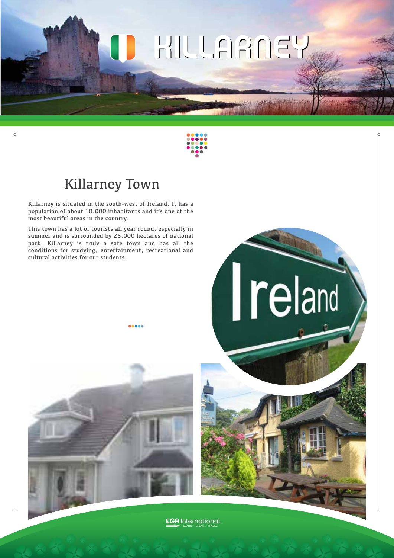# KILLARNEY KILLARNEY ш



# Killarney Town

Killarney is situated in the south-west of Ireland. It has a population of about 10.000 inhabitants and it´s one of the most beautiful areas in the country.

This town has a lot of tourists all year round, especially in summer and is surrounded by 25.000 hectares of national park. Killarney is truly a safe town and has all the conditions for studying, entertainment, recreational and cultural activities for our students.





**EGA** International LEARN · SPEAK · TRAVEL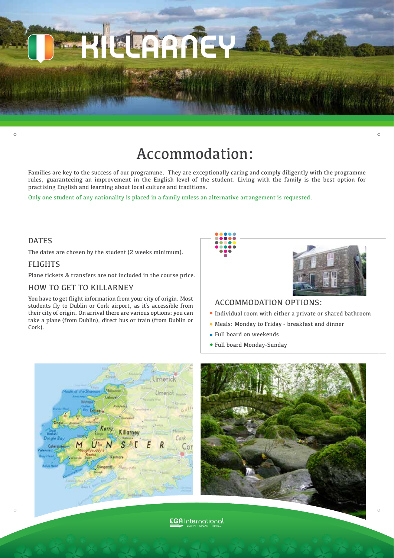

Families are key to the success of our programme. They are exceptionally caring and comply diligently with the programme rules, guaranteeing an improvement in the English level of the student. Living with the family is the best option for practising English and learning about local culture and traditions.

Only one student of any nationality is placed in a family unless an alternative arrangement is requested.

**BEDIA** 

#### DATES

The dates are chosen by the student (2 weeks minimum).

#### FLIGHTS

Plane tickets & transfers are not included in the course price.

#### HOW TO GET TO KILLARNEY

You have to get flight information from your city of origin. Most students fly to Dublin or Cork airport, as it´s accessible from their city of origin. On arrival there are various options: you can take a plane (from Dublin), direct bus or train (from Dublin or Cork).





#### ACCOMMODATION OPTIONS:

- Individual room with either a private or shared bathroom
- Meals: Monday to Friday breakfast and dinner
- Full board on weekends
- Full board Monday-Sunday





**EGA** International LEARN · SPEAK · TRAVEL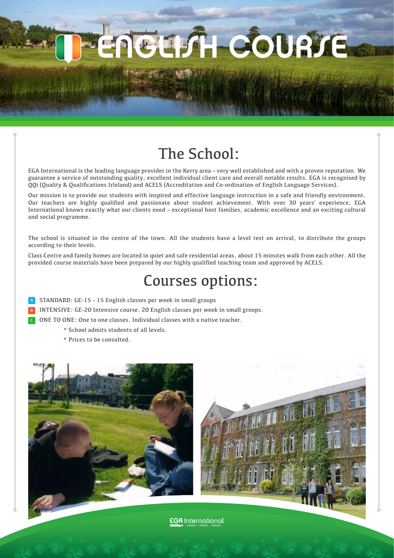EUSH COURSE

# The School:

EGA International is the leading language provider in the Kerry area – very well established and with a proven reputation. We guarantee a service of outstanding quality, excellent individual client care and overall notable results. EGA is recognised by QQi (Quality & Qualifications Irleland) and ACELS (Accreditation and Co-ordination of English Language Services).

Our mission is to provide our students with inspired and effective language instruction in a safe and friendly environment. Our teachers are highly qualified and passionate about student achievement. With over 30 years' experience, EGA International knows exactly what our clients need – exceptional host families, academic excellence and an exciting cultural and social programme.

The school is situated in the centre of the town. All the students have a level test on arrival, to distribute the groups according to their levels.

Class Centre and family homes are located in quiet and safe residential areas, about 15 minutes walk from each other. All the provided course materials have been prepared by our highly qualified teaching team and approved by ACELS.

# Courses options:

- STANDARD: GE-15 15 English classes per week in small groups A
- INTENSIVE: GE-20 Intensive course. 20 English classes per week in small groups. B
- ONE TO ONE: One to one classes. Individual classes with a native teacher. C
	- \* School admits students of all levels.
	- \* Prices to be consulted.



**EGA** International LEARN · SPEAK · TRAVEL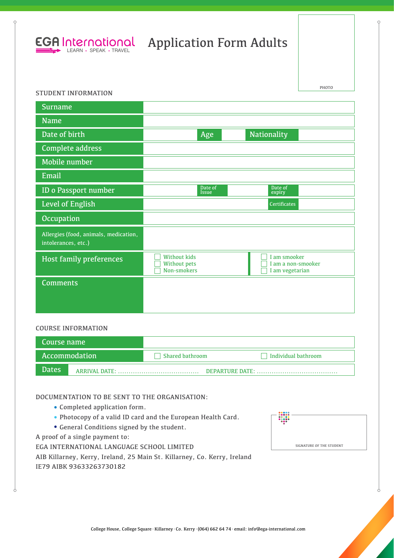

## Application Form Adults

#### STUDENT INFORMATION

| <b>Surname</b>                                               |                                                           |                                                       |
|--------------------------------------------------------------|-----------------------------------------------------------|-------------------------------------------------------|
| <b>Name</b>                                                  |                                                           |                                                       |
| Date of birth                                                | Age                                                       | <b>Nationality</b>                                    |
| Complete address                                             |                                                           |                                                       |
| Mobile number                                                |                                                           |                                                       |
| Email                                                        |                                                           |                                                       |
| <b>ID o Passport number</b>                                  | Date of<br><b>Issue</b>                                   | Date of<br>expiry                                     |
| Level of English                                             |                                                           | <b>Certificates</b>                                   |
| <b>Occupation</b>                                            |                                                           |                                                       |
| Allergies (food, animals, medication,<br>intolerances, etc.) |                                                           |                                                       |
| Host family preferences                                      | <b>Without kids</b><br><b>Without pets</b><br>Non-smokers | I am smooker<br>I am a non-smooker<br>I am vegetarian |
| <b>Comments</b>                                              |                                                           |                                                       |
|                                                              |                                                           |                                                       |
|                                                              |                                                           |                                                       |

#### COURSE INFORMATION

| Course name   |                 |                             |
|---------------|-----------------|-----------------------------|
| Accommodation | Shared bathroom | $\vert$ Individual bathroom |
| <b>Dates</b>  |                 | DEPARTURE DATE:             |

#### DOCUMENTATION TO BE SENT TO THE ORGANISATION:

- Completed application form.
- Photocopy of a valid ID card and the European Health Card.
- General Conditions signed by the student.

A proof of a single payment to:

EGA INTERNATIONAL LANGUAGE SCHOOL LIMITED

| ---<br> |                          |
|---------|--------------------------|
|         | SIGNATURE OF THE STUDENT |

|                          |  |  | AIB Killarney, Kerry, Ireland, 25 Main St. Killarney, Co. Kerry, Ireland |  |  |
|--------------------------|--|--|--------------------------------------------------------------------------|--|--|
| IE79 AIBK 93633263730182 |  |  |                                                                          |  |  |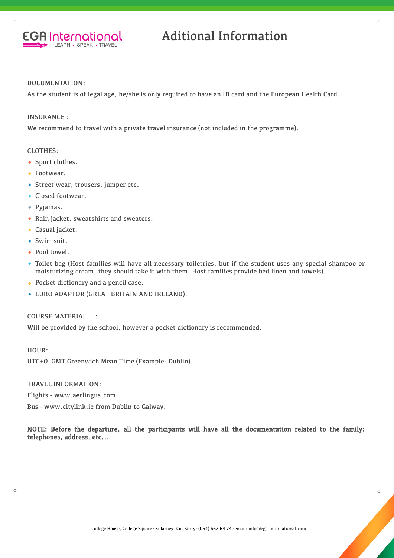

## Aditional Information

#### DOCUMENTATION:

As the student is of legal age, he/she is only required to have an ID card and the European Health Card

#### INSURANCE :

We recommend to travel with a private travel insurance (not included in the programme).

#### CLOTHES:

- Sport clothes.
- Footwear.
- Street wear, trousers, jumper etc.
- Closed footwear.
- Pviamas.
- Rain jacket, sweatshirts and sweaters.
- Casual jacket.
- Swim suit.
- Pool towel.
- Toilet bag (Host families will have all necessary toiletries, but if the student uses any special shampoo or moisturizing cream, they should take it with them. Host families provide bed linen and towels).
- Pocket dictionary and a pencil case.
- EURO ADAPTOR (GREAT BRITAIN AND IRELAND).

COURSE MATERIAL :

Will be provided by the school, however a pocket dictionary is recommended.

HOUR: UTC+0 GMT Greenwich Mean Time (Example- Dublin).

TRAVEL INFORMATION:

Flights - www.aerlingus.com.

Bus - www.citylink.ie from Dublin to Galway.

NOTE: Before the departure, all the participants will have all the documentation related to the family: telephones, address, etc...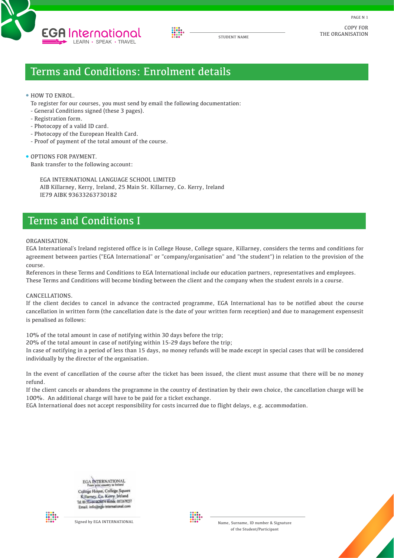



COPY FOR THE ORGANISATION

PAGE N 1

### Terms and Conditions: Enrolment details

#### • HOW TO ENROL.

- To register for our courses, you must send by email the following documentation:
- General Conditions signed (these 3 pages).
- Registration form.
- Photocopy of a valid ID card.
- Photocopy of the European Health Card.
- Proof of payment of the total amount of the course.

**OPTIONS FOR PAYMENT.** Bank transfer to the following account:

> EGA INTERNATIONAL LANGUAGE SCHOOL LIMITED AIB Killarney, Kerry, Ireland, 25 Main St. Killarney, Co. Kerry, Ireland IE79 AIBK 93633263730182

## Terms and Conditions I

#### ORGANISATION.

EGA International´s Ireland registered office is in College House, College square, Killarney, considers the terms and conditions for agreement between parties ("EGA International" or "company/organisation" and "the student") in relation to the provision of the course.

References in these Terms and Conditions to EGA International include our education partners, representatives and employees. These Terms and Conditions will become binding between the client and the company when the student enrols in a course.

#### CANCELLATIONS.

If the client decides to cancel in advance the contracted programme, EGA International has to be notified about the course cancellation in written form (the cancellation date is the date of your written form reception) and due to management expensesit is penalised as follows:

10% of the total amount in case of notifying within 30 days before the trip;

20% of the total amount in case of notifying within 15-29 days before the trip;

In case of notifying in a period of less than 15 days, no money refunds will be made except in special cases that will be considered individually by the director of the organisation.

In the event of cancellation of the course after the ticket has been issued, the client must assume that there will be no money refund.

If the client cancels or abandons the programme in the country of destination by their own choice, the cancellation charge will be 100%. An additional charge will have to be paid for a ticket exchange.

EGA International does not accept responsibility for costs incurred due to flight delays, e.g. accommodation.

EGA INTERNATIONAL College House, College Square Killarney, Co. Kerry, Ireland Tel. 00 353-64 6636474 Mobile. 0872679237 Email. info@ega-international.com





Signed by EGA INTERNATIONAL Name, Surname, ID number & Signature of the Student/Participant

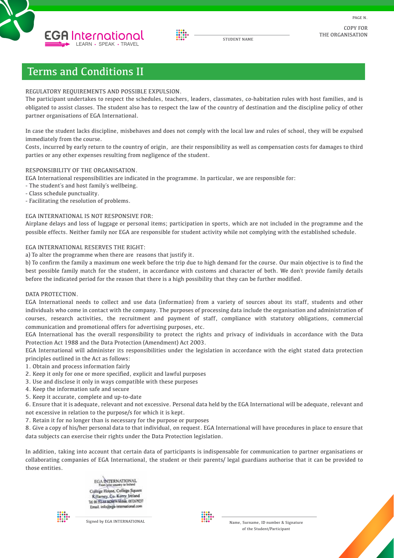



STUDENT NAME

COPY FOR THE ORGANISATION

## Terms and Conditions II

#### REGULATORY REQUIREMENTS AND POSSIBLE EXPULSION.

The participant undertakes to respect the schedules, teachers, leaders, classmates, co-habitation rules with host families, and is obligated to assist classes. The student also has to respect the law of the country of destination and the discipline policy of other partner organisations of EGA International.

In case the student lacks discipline, misbehaves and does not comply with the local law and rules of school, they will be expulsed immediately from the course.

Costs, incurred by early return to the country of origin, are their responsibility as well as compensation costs for damages to third parties or any other expenses resulting from negligence of the student.

#### RESPONSIBILITY OF THE ORGANISATION.

EGA International responsibilities are indicated in the programme. In particular, we are responsible for:

- The student´s and host family´s wellbeing.
- Class schedule punctuality.

- Facilitating the resolution of problems.

#### EGA INTERNATIONAL IS NOT RESPONSIVE FOR:

Airplane delays and loss of luggage or personal items; participation in sports, which are not included in the programme and the possible effects. Neither family nor EGA are responsible for student activity while not complying with the established schedule.

#### EGA INTERNATIONAL RESERVES THE RIGHT:

a) To alter the programme when there are reasons that justify it.

b) To confirm the family a maximum one week before the trip due to high demand for the course. Our main objective is to find the best possible family match for the student, in accordance with customs and character of both. We don`t provide family details before the indicated period for the reason that there is a high possibility that they can be further modified.

#### DATA PROTECTION.

EGA International needs to collect and use data (information) from a variety of sources about its staff, students and other individuals who come in contact with the company. The purposes of processing data include the organisation and administration of courses, research activities, the recruitment and payment of staff, compliance with statutory obligations, commercial communication and promotional offers for advertising purposes, etc.

EGA International has the overall responsibility to protect the rights and privacy of individuals in accordance with the Data Protection Act 1988 and the Data Protection (Amendment) Act 2003.

EGA International will administer its responsibilities under the legislation in accordance with the eight stated data protection principles outlined in the Act as follows:

- 1. Obtain and process information fairly
- 2. Keep it only for one or more specified, explicit and lawful purposes
- 3. Use and disclose it only in ways compatible with these purposes
- 4. Keep the information safe and secure
- 5. Keep it accurate, complete and up-to-date

6. Ensure that it is adequate, relevant and not excessive. Personal data held by the EGA International will be adequate, relevant and not excessive in relation to the purpose/s for which it is kept.

7. Retain it for no longer than is necessary for the purpose or purposes

8. Give a copy of his/her personal data to that individual, on request. EGA International will have procedures in place to ensure that data subjects can exercise their rights under the Data Protection legislation.

In addition, taking into account that certain data of participants is indispensable for communication to partner organisations or collaborating companies of EGA International, the student or their parents/ legal guardians authorise that it can be provided to those entities.

> EGA INTERNATIONAL College House, College Square Killamey, Co. Kerry, Ireland Tel. 00 353-64 663674 Mobile. 0872679237 Email, info@ega-international.com